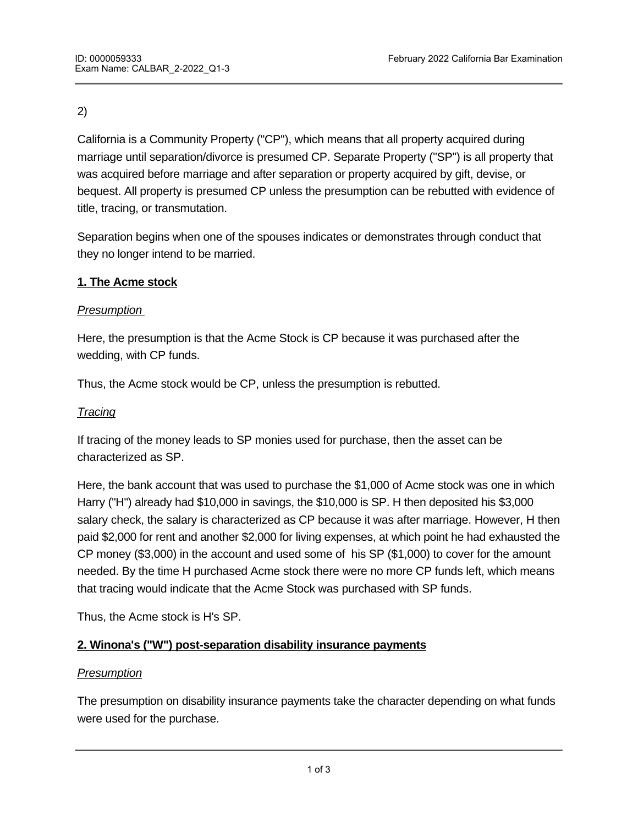# 2)

California is a Community Property ("CP"), which means that all property acquired during marriage until separation/divorce is presumed CP. Separate Property ("SP") is all property that was acquired before marriage and after separation or property acquired by gift, devise, or bequest. All property is presumed CP unless the presumption can be rebutted with evidence of title, tracing, or transmutation.

Separation begins when one of the spouses indicates or demonstrates through conduct that they no longer intend to be married.

### **1. The Acme stock**

### *Presumption*

Here, the presumption is that the Acme Stock is CP because it was purchased after the wedding, with CP funds.

Thus, the Acme stock would be CP, unless the presumption is rebutted.

### *Tracing*

If tracing of the money leads to SP monies used for purchase, then the asset can be characterized as SP.

Here, the bank account that was used to purchase the \$1,000 of Acme stock was one in which Harry ("H") already had \$10,000 in savings, the \$10,000 is SP. H then deposited his \$3,000 salary check, the salary is characterized as CP because it was after marriage. However, H then paid \$2,000 for rent and another \$2,000 for living expenses, at which point he had exhausted the CP money (\$3,000) in the account and used some of his SP (\$1,000) to cover for the amount needed. By the time H purchased Acme stock there were no more CP funds left, which means that tracing would indicate that the Acme Stock was purchased with SP funds.

Thus, the Acme stock is H's SP.

## **2. Winona's ("W") post-separation disability insurance payments**

## *Presumption*

The presumption on disability insurance payments take the character depending on what funds were used for the purchase.

 $\mathcal{H}_{\rm eff}$  purchased the disability insurance with  $\mathcal{H}_{\rm eff}$  funds because it was purchased after the disability insurance  $\mathcal{H}_{\rm eff}$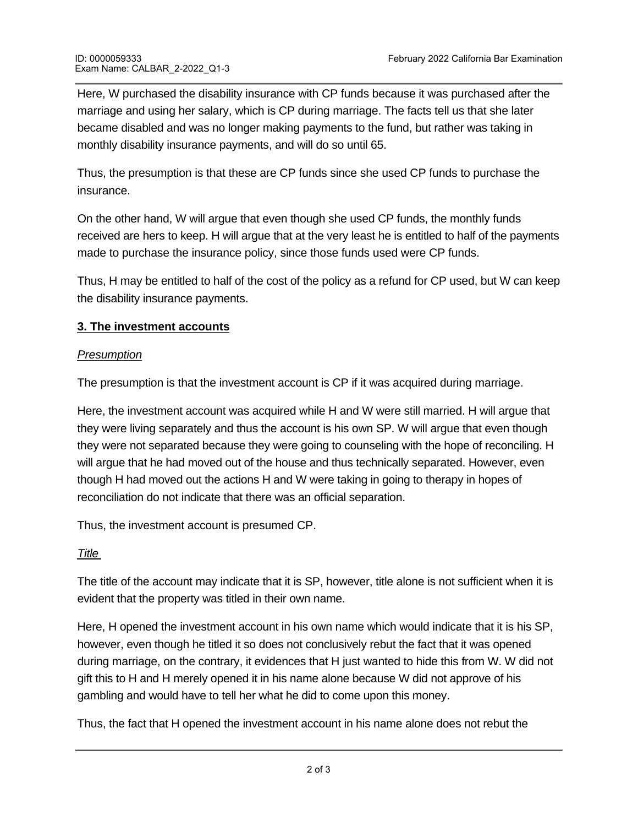Here, W purchased the disability insurance with CP funds because it was purchased after the marriage and using her salary, which is CP during marriage. The facts tell us that she later became disabled and was no longer making payments to the fund, but rather was taking in monthly disability insurance payments, and will do so until 65.

Thus, the presumption is that these are CP funds since she used CP funds to purchase the insurance.

On the other hand, W will argue that even though she used CP funds, the monthly funds received are hers to keep. H will argue that at the very least he is entitled to half of the payments made to purchase the insurance policy, since those funds used were CP funds.

Thus, H may be entitled to half of the cost of the policy as a refund for CP used, but W can keep the disability insurance payments.

## **3. The investment accounts**

### *Presumption*

The presumption is that the investment account is CP if it was acquired during marriage.

Here, the investment account was acquired while H and W were still married. H will argue that they were living separately and thus the account is his own SP. W will argue that even though they were not separated because they were going to counseling with the hope of reconciling. H will argue that he had moved out of the house and thus technically separated. However, even though H had moved out the actions H and W were taking in going to therapy in hopes of reconciliation do not indicate that there was an official separation.

Thus, the investment account is presumed CP.

### *Title*

The title of the account may indicate that it is SP, however, title alone is not sufficient when it is evident that the property was titled in their own name.

Here, H opened the investment account in his own name which would indicate that it is his SP, however, even though he titled it so does not conclusively rebut the fact that it was opened during marriage, on the contrary, it evidences that H just wanted to hide this from W. W did not gift this to H and H merely opened it in his name alone because W did not approve of his gambling and would have to tell her what he did to come upon this money.

Thus, the fact that H opened the investment account in his name alone does not rebut the